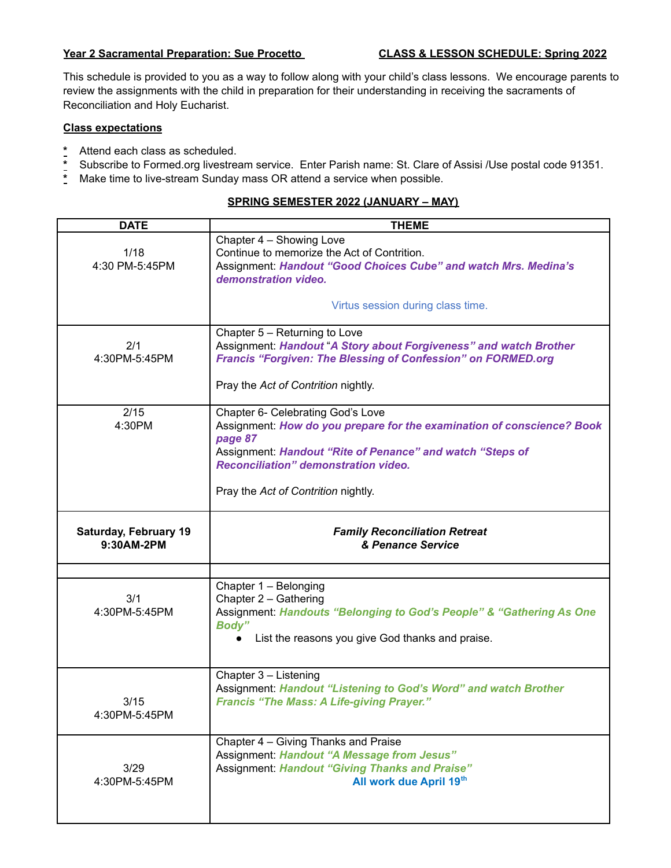## **Year 2 Sacramental Preparation: Sue Procetto CLASS & LESSON SCHEDULE: Spring 2022**

This schedule is provided to you as a way to follow along with your child's class lessons. We encourage parents to review the assignments with the child in preparation for their understanding in receiving the sacraments of Reconciliation and Holy Eucharist.

## **Class expectations**

- Attend each class as scheduled.
- \* Subscribe to Formed.org livestream service. Enter Parish name: St. Clare of Assisi /Use postal code 91351.<br>\* Make time to live-stream Sunday mass OR attend a service when possible
- **\*** Make time to live-stream Sunday mass OR attend a service when possible.

## **SPRING SEMESTER 2022 (JANUARY – MAY)**

| <b>DATE</b>                                | <b>THEME</b>                                                                                                                                                                                                                                                              |
|--------------------------------------------|---------------------------------------------------------------------------------------------------------------------------------------------------------------------------------------------------------------------------------------------------------------------------|
| 1/18<br>4:30 PM-5:45PM                     | Chapter 4 - Showing Love<br>Continue to memorize the Act of Contrition.<br>Assignment: Handout "Good Choices Cube" and watch Mrs. Medina's<br>demonstration video.                                                                                                        |
|                                            | Virtus session during class time.                                                                                                                                                                                                                                         |
| 2/1<br>4:30PM-5:45PM                       | Chapter 5 - Returning to Love<br>Assignment: Handout "A Story about Forgiveness" and watch Brother<br>Francis "Forgiven: The Blessing of Confession" on FORMED.org                                                                                                        |
|                                            | Pray the Act of Contrition nightly.                                                                                                                                                                                                                                       |
| 2/15<br>4:30PM                             | Chapter 6- Celebrating God's Love<br>Assignment: How do you prepare for the examination of conscience? Book<br>page 87<br>Assignment: Handout "Rite of Penance" and watch "Steps of<br><b>Reconciliation" demonstration video.</b><br>Pray the Act of Contrition nightly. |
| <b>Saturday, February 19</b><br>9:30AM-2PM | <b>Family Reconciliation Retreat</b><br>& Penance Service                                                                                                                                                                                                                 |
| 3/1<br>4:30PM-5:45PM                       | Chapter 1 - Belonging<br>Chapter 2 - Gathering<br>Assignment: Handouts "Belonging to God's People" & "Gathering As One<br>Body"<br>List the reasons you give God thanks and praise.                                                                                       |
| 3/15<br>4:30PM-5:45PM                      | Chapter 3 - Listening<br>Assignment: Handout "Listening to God's Word" and watch Brother<br><b>Francis "The Mass: A Life-giving Prayer."</b>                                                                                                                              |
| 3/29<br>4:30PM-5:45PM                      | Chapter 4 - Giving Thanks and Praise<br>Assignment: Handout "A Message from Jesus"<br><b>Assignment: Handout "Giving Thanks and Praise"</b><br>All work due April 19th                                                                                                    |